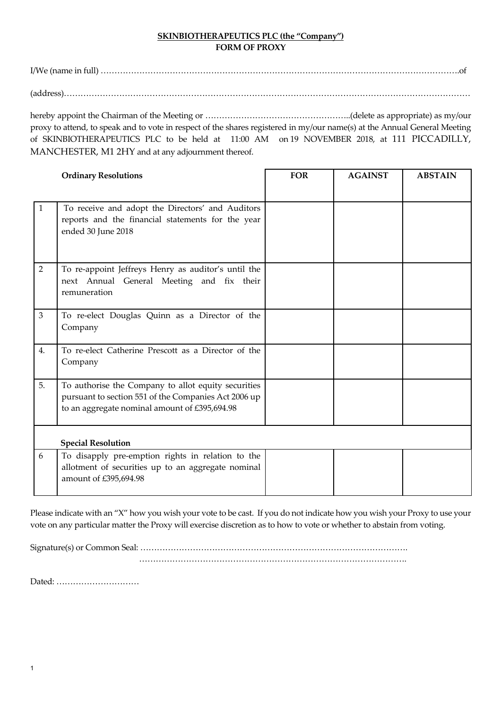## **SKINBIOTHERAPEUTICS PLC (the "Company") FORM OF PROXY**

I/We (name in full) ………………………………………………………………………………………………………………….of

(address)…………………………………………………………………………………………………………………………………

hereby appoint the Chairman of the Meeting or ……………………………………………..(delete as appropriate) as my/our proxy to attend, to speak and to vote in respect of the shares registered in my/our name(s) at the Annual General Meeting of SKINBIOTHERAPEUTICS PLC to be held at 11:00 AM on 19 NOVEMBER 2018, at 111 PICCADILLY, MANCHESTER, M1 2HY and at any adjournment thereof.

|                | <b>Ordinary Resolutions</b>                                                                                                                                  | <b>FOR</b> | <b>AGAINST</b> | <b>ABSTAIN</b> |
|----------------|--------------------------------------------------------------------------------------------------------------------------------------------------------------|------------|----------------|----------------|
| $\mathbf{1}$   | To receive and adopt the Directors' and Auditors<br>reports and the financial statements for the year<br>ended 30 June 2018                                  |            |                |                |
| $\overline{2}$ | To re-appoint Jeffreys Henry as auditor's until the<br>next Annual General Meeting and fix their<br>remuneration                                             |            |                |                |
| 3              | To re-elect Douglas Quinn as a Director of the<br>Company                                                                                                    |            |                |                |
| 4.             | To re-elect Catherine Prescott as a Director of the<br>Company                                                                                               |            |                |                |
| 5.             | To authorise the Company to allot equity securities<br>pursuant to section 551 of the Companies Act 2006 up<br>to an aggregate nominal amount of £395,694.98 |            |                |                |
|                | <b>Special Resolution</b>                                                                                                                                    |            |                |                |
| 6              | To disapply pre-emption rights in relation to the<br>allotment of securities up to an aggregate nominal<br>amount of £395,694.98                             |            |                |                |

Please indicate with an "X" how you wish your vote to be cast. If you do not indicate how you wish your Proxy to use your vote on any particular matter the Proxy will exercise discretion as to how to vote or whether to abstain from voting.

Signature(s) or Common Seal: ……………………………………………………………………………………. …………………………………………………………………………………….

Dated: …………………………